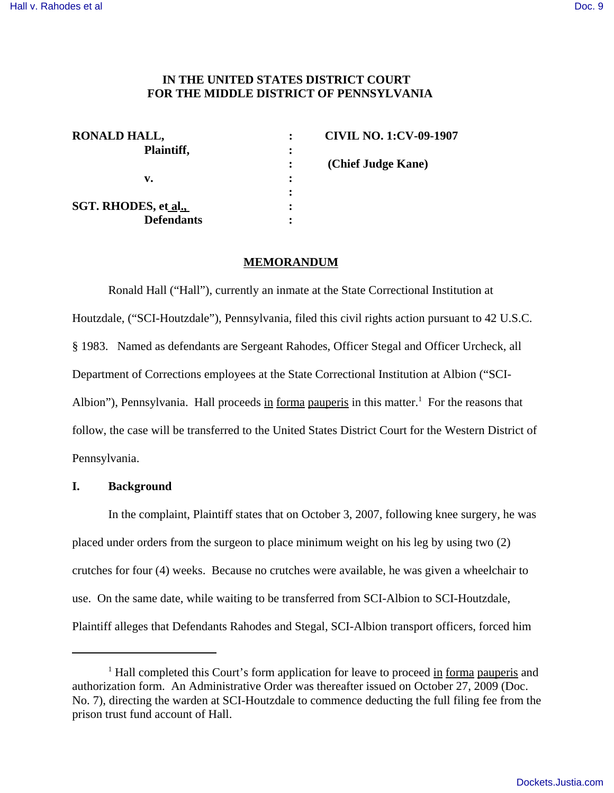### **IN THE UNITED STATES DISTRICT COURT FOR THE MIDDLE DISTRICT OF PENNSYLVANIA**

| <b>RONALD HALL,</b>  |                | <b>CIVIL NO. 1:CV-09-1907</b> |
|----------------------|----------------|-------------------------------|
| Plaintiff,           | $\ddot{\cdot}$ |                               |
|                      |                | (Chief Judge Kane)            |
| v.                   | $\ddot{\cdot}$ |                               |
|                      |                |                               |
| SGT. RHODES, et al., | $\ddot{\cdot}$ |                               |
| <b>Defendants</b>    |                |                               |

#### **MEMORANDUM**

Ronald Hall ("Hall"), currently an inmate at the State Correctional Institution at Houtzdale, ("SCI-Houtzdale"), Pennsylvania, filed this civil rights action pursuant to 42 U.S.C. § 1983. Named as defendants are Sergeant Rahodes, Officer Stegal and Officer Urcheck, all Department of Corrections employees at the State Correctional Institution at Albion ("SCI-Albion"), Pennsylvania. Hall proceeds in forma pauperis in this matter.<sup>1</sup> For the reasons that follow, the case will be transferred to the United States District Court for the Western District of Pennsylvania.

#### **I. Background**

In the complaint, Plaintiff states that on October 3, 2007, following knee surgery, he was placed under orders from the surgeon to place minimum weight on his leg by using two (2) crutches for four (4) weeks. Because no crutches were available, he was given a wheelchair to use. On the same date, while waiting to be transferred from SCI-Albion to SCI-Houtzdale, Plaintiff alleges that Defendants Rahodes and Stegal, SCI-Albion transport officers, forced him

<sup>&</sup>lt;sup>1</sup> Hall completed this Court's form application for leave to proceed in forma pauperis and authorization form. An Administrative Order was thereafter issued on October 27, 2009 (Doc. No. 7), directing the warden at SCI-Houtzdale to commence deducting the full filing fee from the prison trust fund account of Hall.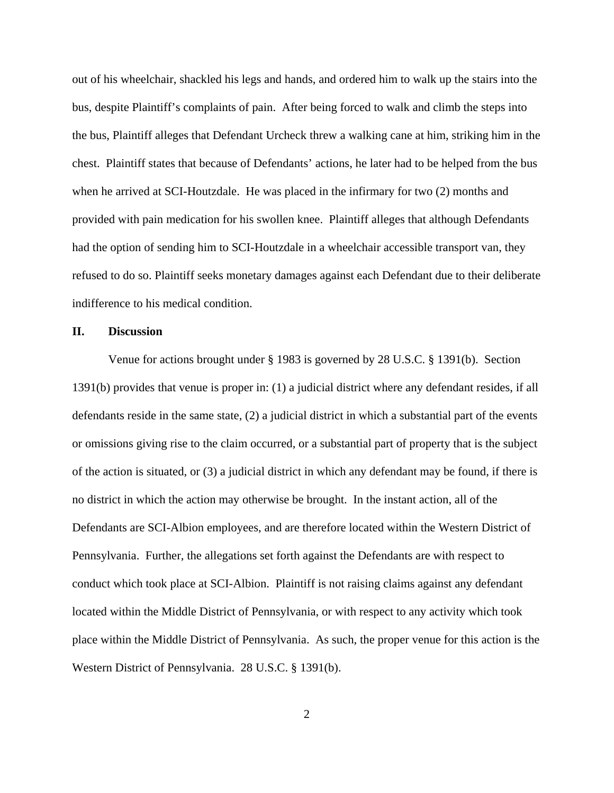out of his wheelchair, shackled his legs and hands, and ordered him to walk up the stairs into the bus, despite Plaintiff's complaints of pain. After being forced to walk and climb the steps into the bus, Plaintiff alleges that Defendant Urcheck threw a walking cane at him, striking him in the chest. Plaintiff states that because of Defendants' actions, he later had to be helped from the bus when he arrived at SCI-Houtzdale. He was placed in the infirmary for two (2) months and provided with pain medication for his swollen knee. Plaintiff alleges that although Defendants had the option of sending him to SCI-Houtzdale in a wheelchair accessible transport van, they refused to do so. Plaintiff seeks monetary damages against each Defendant due to their deliberate indifference to his medical condition.

#### **II. Discussion**

Venue for actions brought under § 1983 is governed by 28 U.S.C. § 1391(b). Section 1391(b) provides that venue is proper in: (1) a judicial district where any defendant resides, if all defendants reside in the same state, (2) a judicial district in which a substantial part of the events or omissions giving rise to the claim occurred, or a substantial part of property that is the subject of the action is situated, or (3) a judicial district in which any defendant may be found, if there is no district in which the action may otherwise be brought. In the instant action, all of the Defendants are SCI-Albion employees, and are therefore located within the Western District of Pennsylvania. Further, the allegations set forth against the Defendants are with respect to conduct which took place at SCI-Albion. Plaintiff is not raising claims against any defendant located within the Middle District of Pennsylvania, or with respect to any activity which took place within the Middle District of Pennsylvania. As such, the proper venue for this action is the Western District of Pennsylvania. 28 U.S.C. § 1391(b).

2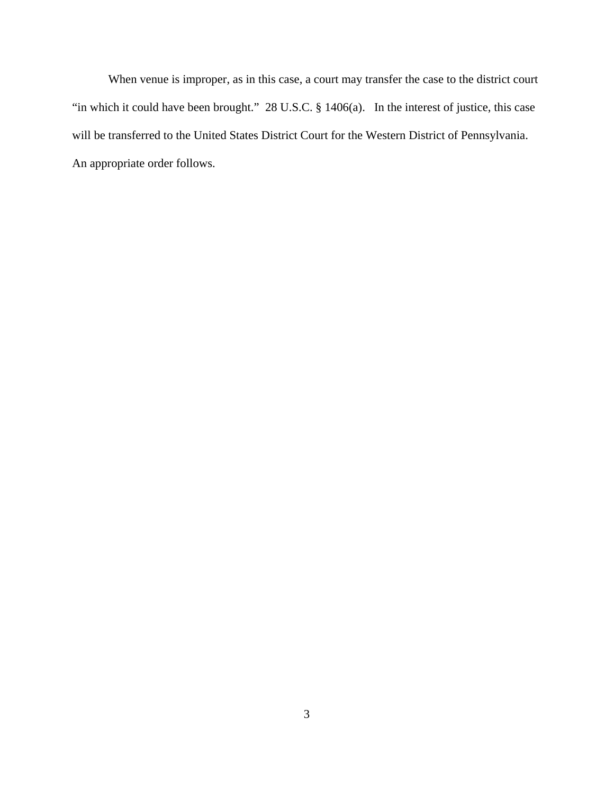When venue is improper, as in this case, a court may transfer the case to the district court "in which it could have been brought." 28 U.S.C. § 1406(a). In the interest of justice, this case will be transferred to the United States District Court for the Western District of Pennsylvania. An appropriate order follows.